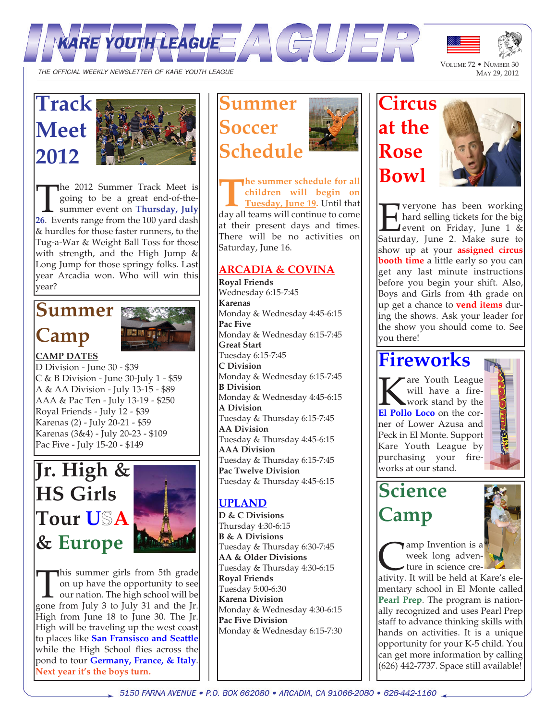



THE OFFICIAL WEEKLY NEWSLETTER OF KARE YOUTH LEAGUE

# **Track Meet 2012**



The 2012 Summer Track Meet is<br>going to be a great end-of-the-<br>**26**. Events range from the 100 yard dash he 2012 Summer Track Meet is going to be a great end-of-thesummer event on **Thursday, July** & hurdles for those faster runners, to the Tug-a-War & Weight Ball Toss for those with strength, and the High Jump & Long Jump for those springy folks. Last year Arcadia won. Who will win this year?

# **Summer Camp**



### **CAMP DATES**

D Division - June 30 - \$39 C & B Division - June 30-July 1 - \$59 A & AA Division - July 13-15 - \$89 AAA & Pac Ten - July 13-19 - \$250 Royal Friends - July 12 - \$39 Karenas (2) - July 20-21 - \$59 Karenas (3&4) - July 20-23 - \$109 Pac Five - July 15-20 - \$149

# **Jr. High & HS Girls Tour U**S**A & Europe**



This summer girls from 5th grade<br>on up have the opportunity to see<br>our nation. The high school will be<br>gone from July 3 to July 31 and the Jr. This summer girls from 5th grade on up have the opportunity to see our nation. The high school will be High from June 18 to June 30. The Jr. High will be traveling up the west coast to places like **San Fransisco and Seattle** while the High School flies across the pond to tour **Germany, France, & Italy**. **Next year it's the boys turn.**



**The summer schedule for all children** will begin on Tuesday, June 19. Until that day all teams will continue to come **he summer schedule for all children will begin on Tuesday, June 19.** Until that at their present days and times. There will be no activities on Saturday, June 16.

#### **ARCADIA & COVINA**

**Royal Friends** Wednesday 6:15-7:45 **Karenas** Monday & Wednesday 4:45-6:15 **Pac Five** Monday & Wednesday 6:15-7:45 **Great Start** Tuesday 6:15-7:45 **C Division** Monday & Wednesday 6:15-7:45 **B Division** Monday & Wednesday 4:45-6:15 **A Division** Tuesday & Thursday 6:15-7:45 **AA Division** Tuesday & Thursday 4:45-6:15 **AAA Division** Tuesday & Thursday 6:15-7:45 **Pac Twelve Division** Tuesday & Thursday 4:45-6:15

#### **UPLAND**

**D & C Divisions** Thursday 4:30-6:15 **B & A Divisions** Tuesday & Thursday 6:30-7:45 **AA & Older Divisions** Tuesday & Thursday 4:30-6:15 **Royal Friends** Tuesday 5:00-6:30 **Karena Division** Monday & Wednesday 4:30-6:15 **Pac Five Division** Monday & Wednesday 6:15-7:30





 $\prod_{\text{Saturo}}$ veryone has been working hard selling tickets for the big **J**event on Friday, June 1  $\&$ Saturday, June 2. Make sure to show up at your **assigned circus booth time** a little early so you can get any last minute instructions before you begin your shift. Also, Boys and Girls from 4th grade on up get a chance to **vend items** during the shows. Ask your leader for the show you should come to. See you there!

## **Fireworks**

**K** will have a fire-<br>**El Pollo Loco** on the cor-Tare Youth League will have a firework stand by the ner of Lower Azusa and Peck in El Monte. Support Kare Youth League by purchasing your fireworks at our stand.



**Science Camp**



The University of the Maria Company of the Maria Company of the Maria Company of the Maria Company of the Maria Company of the held at Kare's eleamp Invention is a week long adventure in science cre-

mentary school in El Monte called **Pearl Prep**. The program is nationally recognized and uses Pearl Prep staff to advance thinking skills with hands on activities. It is a unique opportunity for your K-5 child. You can get more information by calling (626) 442-7737. Space still available!